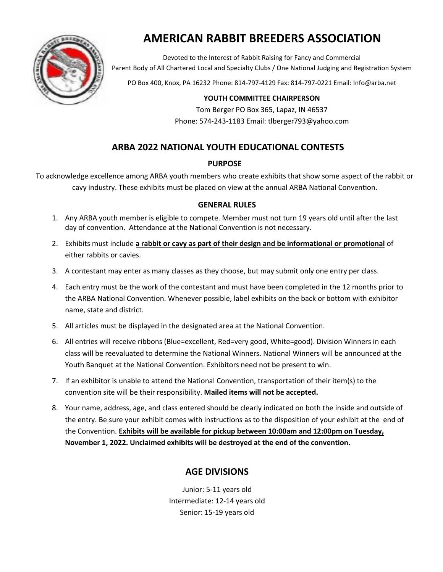

# **AMERICAN RABBIT BREEDERS ASSOCIATION**

Devoted to the Interest of Rabbit Raising for Fancy and Commercial Parent Body of All Chartered Local and Specialty Clubs / One National Judging and Registration System

PO Box 400, Knox, PA 16232 Phone: 814-797-4129 Fax: 814-797-0221 Email: Info@arba.net

## **YOUTH COMMITTEE CHAIRPERSON**

Tom Berger PO Box 365, Lapaz, IN 46537 Phone: 574-243-1183 Email: tlberger793@yahoo.com

# **ARBA 2022 NATIONAL YOUTH EDUCATIONAL CONTESTS**

## **PURPOSE**

To acknowledge excellence among ARBA youth members who create exhibits that show some aspect of the rabbit or cavy industry. These exhibits must be placed on view at the annual ARBA National Convention.

## **GENERAL RULES**

- 1. Any ARBA youth member is eligible to compete. Member must not turn 19 years old until after the last day of convention. Attendance at the National Convention is not necessary.
- 2. Exhibits must include **a rabbit or cavy as part of their design and be informational or promotional** of either rabbits or cavies.
- 3. A contestant may enter as many classes as they choose, but may submit only one entry per class.
- 4. Each entry must be the work of the contestant and must have been completed in the 12 months prior to the ARBA National Convention. Whenever possible, label exhibits on the back or bottom with exhibitor name, state and district.
- 5. All articles must be displayed in the designated area at the National Convention.
- 6. All entries will receive ribbons (Blue=excellent, Red=very good, White=good). Division Winners in each class will be reevaluated to determine the National Winners. National Winners will be announced at the Youth Banquet at the National Convention. Exhibitors need not be present to win.
- 7. If an exhibitor is unable to attend the National Convention, transportation of their item(s) to the convention site will be their responsibility. **Mailed items will not be accepted.**
- 8. Your name, address, age, and class entered should be clearly indicated on both the inside and outside of the entry. Be sure your exhibit comes with instructions as to the disposition of your exhibit at the end of the Convention. **Exhibits will be available for pickup between 10:00am and 12:00pm on Tuesday, November 1, 2022. Unclaimed exhibits will be destroyed at the end of the convention.**

## **AGE DIVISIONS**

Junior: 5-11 years old Intermediate: 12-14 years old Senior: 15-19 years old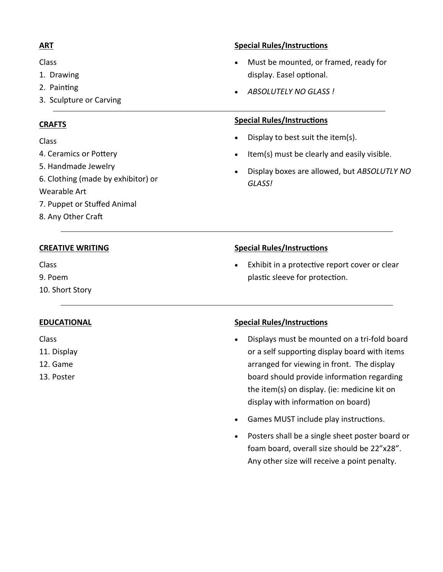## **ART**

Class

- 1. Drawing
- 2. Painting
- 3. Sculpture or Carving

#### **CRAFTS**

Class

- 4. Ceramics or Pottery
- 5. Handmade Jewelry
- 6. Clothing (made by exhibitor) or

#### Wearable Art

- 7. Puppet or Stuffed Animal
- 8. Any Other Craft

## **CREATIVE WRITING**

Class

9. Poem

10. Short Story

## **EDUCATIONAL**

#### Class

- 11. Display
- 12. Game
- 13. Poster

## **Special Rules/Instructions**

- Must be mounted, or framed, ready for display. Easel optional.
- *ABSOLUTELY NO GLASS !*

#### **Special Rules/Instructions**

- Display to best suit the item(s).
- Item(s) must be clearly and easily visible.
- Display boxes are allowed, but *ABSOLUTLY NO GLASS!*

## **Special Rules/Instructions**

Exhibit in a protective report cover or clear plastic sleeve for protection.

## **Special Rules/Instructions**

- Displays must be mounted on a tri-fold board or a self supporting display board with items arranged for viewing in front. The display board should provide information regarding the item(s) on display. (ie: medicine kit on display with information on board)
- Games MUST include play instructions.
- Posters shall be a single sheet poster board or foam board, overall size should be 22"x28". Any other size will receive a point penalty.